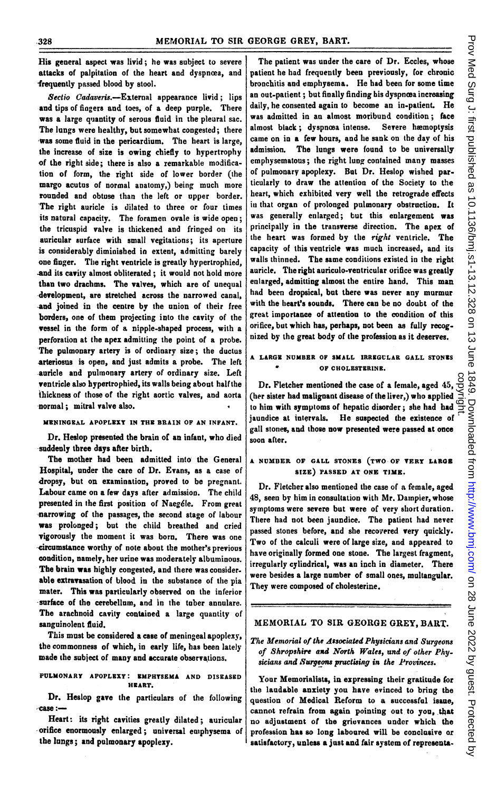His general aspect was livid; he was subject to severe attacks of palpitation of the heart and dyspnoea, and frequently passed blood by stool.

Sectio Cadaveris.-External appearance livid; lips and tips of fingers and toes, of a deep purple. There was a large quantity of serous fluid in the plearal sac. The lungs were healthy, but somewhat congested; there was some fluid in the pericardium. The heart is large, the increase of size is owing chiefly to hypertrophy of the right side; there is also a remarkable modification of form, the right side of lower border (the margo acutus of normal anatomy,) being much more rounded and obtuse than the left or upper border. The right auricle is dilated to three or four times its natural capacity. The foramen ovale is wide open; the tricuspid valve is thickened and fringed on its auricular surface with small vegitations; its aperture is considerably diminished in extent, admitting barely one finger. The right ventricle is greatly hypertrophied, and its cavity almost obliterated; it would not hold more than two drachms. The valves, which are of unequal development, are stretched across the narrowed canal, and joined in the centre by the union of their free borders, one of them projecting into the cavity of the vessel in the form of a nipple-shaped process, with a perforation at the apex admitting the point of a probe. The pulmonary artery is of ordinary size; the ductus arteriosus is open, and just admits a probe. The left auricle and pulmonary artery of ordinary size. Left ventricle also bypertrophied, its walls being about half the ihickness of those of the right aortic valves, and aorta -normal; mitral valve also.

#### MENINGEAL APOPLEXY IN THE BRAIN OF AN INFANT.

Dr. Heslop presented the brain of an infant, who died suddenly three days after birth.

The mother had been admitted into the General Hospital, under the care of Dr. Evans, as a case of dropsy, but on examination, proved to be pregnant. Labour came on a few days after admission. The child presented in the first position of Naeg6le. From great narrowing of the passages, the second stage of labour was prolonged; but the child breathed and cried vigorously the moment it was born. There was one -circumstance worthy of note about the mother's previous condition, namely, her urine was moderately albuminous. The brain was highly congested, and there was considerable extravasation of blood in the substance of the pia mater. This was particularly observed on the inferior surface of the cerebellum, and in the tuber annulare. The arachnoid cavity contained a large quantity of sanguinolent fluid.

This must be considered a case of meningeal apoplexy, the commonness of which, in early life, has been lately made the subject of many and accurate observations.

PULMONARY APOPLEXY: EMPHTSEMA AND DISEASED HRART.

Dr. Heslop gave the particulars of the following --case:-

Heart: its right cavities greatly dilated; auricular \*-orifice enormously enlarged; universal emphysema of the lungs; and pulmonary apoplexy.

The patient was under the care of Dr. Eccles, whose patient he had frequently been previously, for chronic bronchitis and emphysema. He had been for some time an out-patient; but finally finding his dyspnœa increasing daily, he consented again to become an in-patient. He was admitted in an almost moribund condition; face almost black; dyspnoea intense. Severe hæmoptysis came on in a few hours, and he sank on the day of his admission. The lungs were found to be universally emphysematous; the right lung contained many masses of pulmonary apoplexy. But Dr. Heslop wished par. ticularly to draw the attention of the Society to the heart, which exhibited very well the retrograde effects in that organ of prolonged pulmonary obstruction. It was generally enlarged; but this enlargement was principally in the transverse direction. The apex of the heart was formed by the right ventricle. The capacity of this ventricle was much increased, and its walls thinned. The same conditions existed in the right auricle. The right auriculo-ventricular orifice was greatly enlarged, admitting almost the entire hand. This man had been dropsical, but there was never any murmur with the heart's sounds. There can be no doubt of the great importance of attention to the condition of this orifice, but which has, perhaps, not been as fully recognized by the great body of the profession as it deserves.

# A LARGE NUMBER OF SMALL IRREGULAR GALL STONES OF CHOLESTERINE.

Dr. Fletcher mentioned the case of a female, aged 45, (her sister had malignant disease of the liver,) who applied to him with symptoms of hepatic disorder; she had had jaundice at intervals. He suspected the existence of gall stones, and those now presented were passed at once soon after.

### A NUMBER OF GALL STONES (TWO OF VERY LARGE SIZE) PASSED AT ONE TIME.

Dr. Fletcher also mentioned the case of a female, aged 48, seen by him in consultation with Mr. Dampier, whose symptoms were severe but were of very short duration. There had not been jaundice. The patient had never passed stones before, and she recovered very quickly. Two of the calculi were of large size, and appeared to have originally formed one stone. The largest fragment, irregularly cylindrical, was an inch in diameter. There were besides a large number of small ones, multangular. They were composed of cholesterine.

### MEMORIAL TO SIR GEORGE GREY, BARt.

### The Memorial of the Associated Physicians and Surgeons of Shropshire axd North Wales, and of other Physicians and Surgeons practising in the Provinces.

Your Memorialists, in expressing their gratitude (or the laudable anxiety you have evinced to bring the question of Medical Reform to a successful issue, cannot refrain from again pointing out to you, that no adjustment of the grievances under which the profession has so long laboured will be conclusive or satisfactory, unless a just and fair system of representa